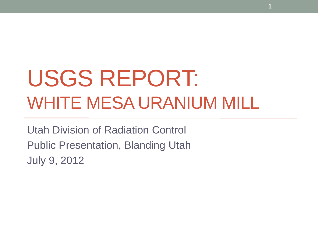# USGS REPORT: WHITE MESA URANIUM MILL

**1**

Utah Division of Radiation Control Public Presentation, Blanding Utah July 9, 2012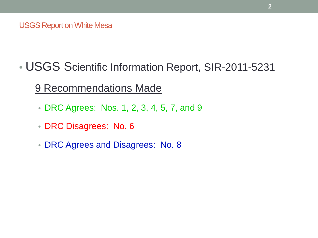• USGS Scientific Information Report, SIR-2011-5231

9 Recommendations Made

- DRC Agrees: Nos. 1, 2, 3, 4, 5, 7, and 9
- DRC Disagrees: No. 6
- DRC Agrees and Disagrees: No. 8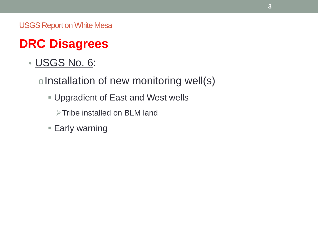## **DRC Disagrees**

• USGS No. 6:

oInstallation of new monitoring well(s)

- Upgradient of East and West wells
	- $\triangleright$ Tribe installed on BLM land
- **Early warning**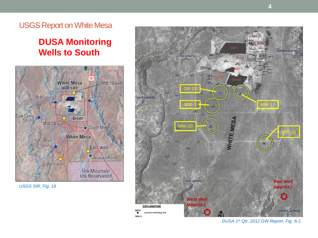**White Mesa** MW 18 well mill site Entrance Mill Spring Spring Cow Camp Inset MW 3A well South Mill Pond **White Mesa** Ruin Spring East well Anasazi Pond West well

> Ute Mountain Ute Reservation

> > $MW-5$

 $\bullet$ TW4-12

*USGS SIR, Fig. 19*



USGS Report on White Mesa

#### **DUSA Monitoring Wells to South**

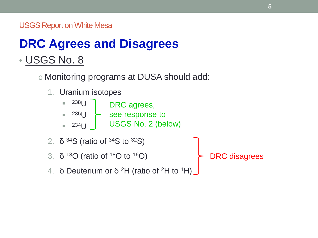## **DRC Agrees and Disagrees** • USGS No. 8

o Monitoring programs at DUSA should add:

1. Uranium isotopes

| $238$   $\vert$ | DRC agrees,     |
|-----------------|-----------------|
| $235$   $\vert$ | see response to |

- $\blacksquare$  234 $\blacksquare$ USGS No. 2 (below)
- 2.  $\delta$  34S (ratio of 34S to 32S)
- 3.  $\delta$  <sup>18</sup>O (ratio of <sup>18</sup>O to <sup>16</sup>O)
- 4. δ Deuterium or  $\delta$  <sup>2</sup>H (ratio of <sup>2</sup>H to <sup>1</sup>H)

DRC disagrees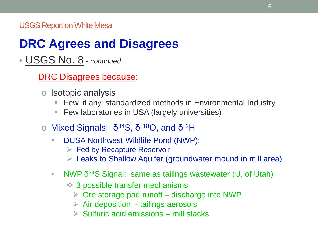### **DRC Agrees and Disagrees**

• USGS No. 8 *- continued*

DRC Disagrees because:

- o Isotopic analysis
	- Few, if any, standardized methods in Environmental Industry
	- Few laboratories in USA (largely universities)
- o Mixed Signals:  $\delta^{34}S$ ,  $\delta^{18}O$ , and  $\delta^{2}H$ 
	- **DUSA Northwest Wildlife Pond (NWP):** 
		- $\triangleright$  Fed by Recapture Reservoir
		- $\triangleright$  Leaks to Shallow Aquifer (groundwater mound in mill area)
	- NWP  $\delta^{34}S$  Signal: same as tailings wastewater (U. of Utah)
		- 3 possible transfer mechanisms
			- $\triangleright$  Ore storage pad runoff discharge into NWP
			- $\triangleright$  Air deposition tailings aerosols
			- $\triangleright$  Sulfuric acid emissions mill stacks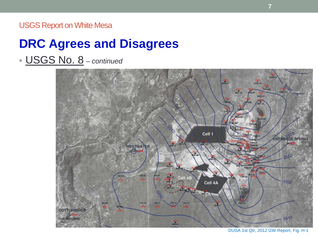### **DRC Agrees and Disagrees**

• USGS No. 8 *– continued*



DUSA 1st Qtr, 2012 GW Report, Fig. H-1

**7**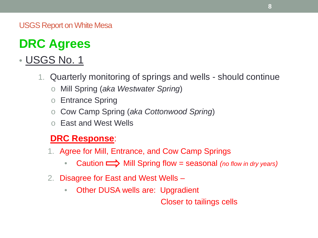## **DRC Agrees**

### • USGS No. 1

- 1. Quarterly monitoring of springs and wells should continue
	- o Mill Spring (*aka Westwater Spring*)
	- o Entrance Spring
	- o Cow Camp Spring (*aka Cottonwood Spring*)
	- o East and West Wells

#### **DRC Response**:

- 1. Agree for Mill, Entrance, and Cow Camp Springs
	- Caution  $\implies$  Mill Spring flow = seasonal *(no flow in dry years)*
- 2. Disagree for East and West Wells
	- Other DUSA wells are: Upgradient

Closer to tailings cells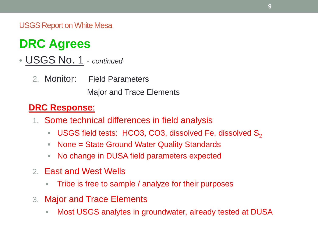### **DRC Agrees**

• USGS No. 1 - *continued*

2. Monitor: Field Parameters

Major and Trace Elements

#### **DRC Response**:

- 1. Some technical differences in field analysis
	- USGS field tests: HCO3, CO3, dissolved Fe, dissolved  $S_2$
	- None = State Ground Water Quality Standards
	- No change in DUSA field parameters expected
- 2. East and West Wells
	- **Tribe is free to sample / analyze for their purposes**
- 3. Major and Trace Elements
	- Most USGS analytes in groundwater, already tested at DUSA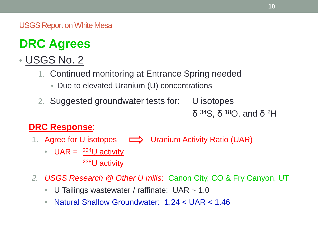## **DRC Agrees**

### • USGS No. 2

- 1. Continued monitoring at Entrance Spring needed
	- Due to elevated Uranium (U) concentrations
- 2. Suggested groundwater tests for: U isotopes

δ 34S, δ 18O, and δ 2H

#### **DRC Response**:

- 1. Agree for U isotopes  $\implies$  Uranium Activity Ratio (UAR)
	- UAR =  $^{234}$ U activity 238U activity
- *2. USGS Research @ Other U mills*: Canon City, CO & Fry Canyon, UT
	- U Tailings wastewater / raffinate: UAR ~ 1.0
	- Natural Shallow Groundwater: 1.24 < UAR < 1.46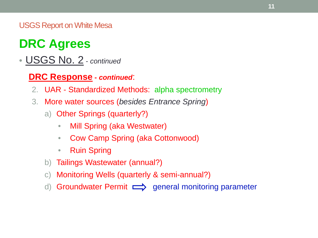### **DRC Agrees**

- USGS No. 2 *continued*
	- **DRC Response -** *continued*:
	- 2. UAR Standardized Methods: alpha spectrometry
	- 3. More water sources (*besides Entrance Spring*)
		- a) Other Springs (quarterly?)
			- Mill Spring (aka Westwater)
			- Cow Camp Spring (aka Cottonwood)
			- Ruin Spring
		- b) Tailings Wastewater (annual?)
		- c) Monitoring Wells (quarterly & semi-annual?)
		- d) Groundwater Permit  $\implies$  general monitoring parameter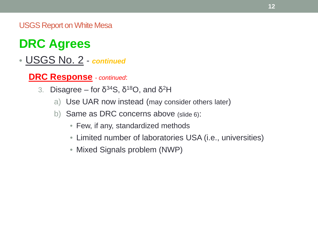### **DRC Agrees**

#### • USGS No. 2 - *continued*

**DRC Response** *- continued*:

- 3. Disagree for  $\delta^{34}S$ ,  $\delta^{18}O$ , and  $\delta^2H$ 
	- a) Use UAR now instead (may consider others later)
	- b) Same as DRC concerns above (slide 6):
		- Few, if any, standardized methods
		- Limited number of laboratories USA (i.e., universities)
		- Mixed Signals problem (NWP)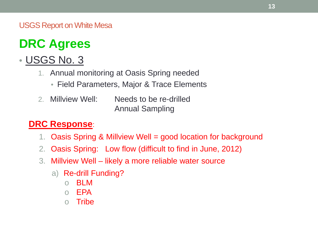### **DRC Agrees**

### • USGS No. 3

- 1. Annual monitoring at Oasis Spring needed
	- Field Parameters, Major & Trace Elements
- 2. Millview Well: Needs to be re-drilled Annual Sampling

#### **DRC Response**:

- 1. Oasis Spring & Millview Well = good location for background
- 2. Oasis Spring: Low flow (difficult to find in June, 2012)
- 3. Millview Well likely a more reliable water source
	- a) Re-drill Funding?
		- o BLM
		- o EPA
		- o Tribe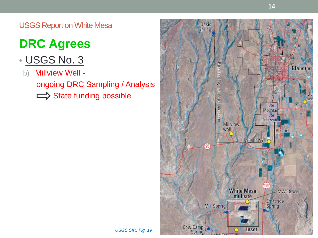## **DRC Agrees**

### • USGS No. 3

b) Millview Well ongoing DRC Sampling / Analysis  $\implies$  State funding possible

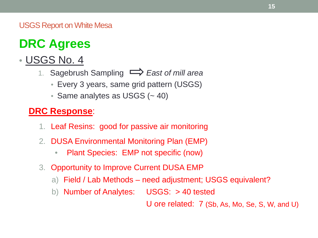## **DRC Agrees**

### • USGS No. 4

- 1. Sagebrush Sampling *East of mill area*
	- Every 3 years, same grid pattern (USGS)
	- Same analytes as USGS (~40)

#### **DRC Response**:

- 1. Leaf Resins: good for passive air monitoring
- 2. DUSA Environmental Monitoring Plan (EMP)
	- Plant Species: EMP not specific (now)
- 3. Opportunity to Improve Current DUSA EMP
	- a) Field / Lab Methods need adjustment; USGS equivalent?
	- b) Number of Analytes: USGS: > 40 tested

U ore related: 7 (Sb, As, Mo, Se, S, W, and U)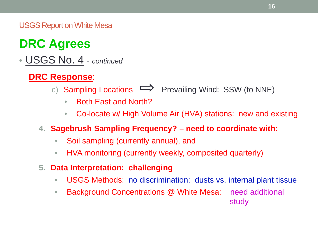## **DRC Agrees**

### • USGS No. 4 - *continued*

#### **DRC Response**:

- c) Sampling Locations  $\implies$  Prevailing Wind: SSW (to NNE)
	- Both East and North?
	- Co-locate w/ High Volume Air (HVA) stations: new and existing

#### **4. Sagebrush Sampling Frequency? – need to coordinate with:**

- Soil sampling (currently annual), and
- HVA monitoring (currently weekly, composited quarterly)
- **5. Data Interpretation: challenging**
	- USGS Methods: no discrimination: dusts vs. internal plant tissue
	- Background Concentrations @ White Mesa: need additional study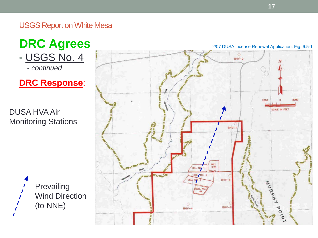#### **DRC Agrees** • USGS No. 4  *- continued*

**DRC Response**:

DUSA HVA Air Monitoring Stations



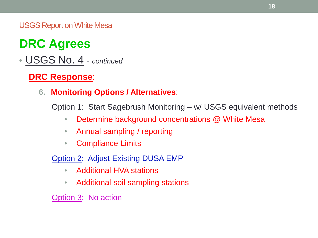## **DRC Agrees**

• USGS No. 4 - *continued*

**DRC Response**:

**6. Monitoring Options / Alternatives**:

Option 1: Start Sagebrush Monitoring – w/ USGS equivalent methods

- Determine background concentrations @ White Mesa
- Annual sampling / reporting
- Compliance Limits
- Option 2: Adjust Existing DUSA EMP
	- Additional HVA stations
	- Additional soil sampling stations

Option 3: No action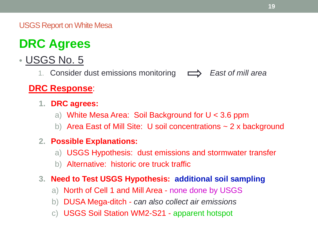## **DRC Agrees**

- USGS No. 5
	- 1. Consider dust emissions monitoring *East of mill area*

#### **DRC Response**:

- **1. DRC agrees:**
	- a) White Mesa Area: Soil Background for U < 3.6 ppm
	- b) Area East of Mill Site: U soil concentrations  $\sim$  2 x background

#### **2. Possible Explanations:**

- a) USGS Hypothesis: dust emissions and stormwater transfer
- b) Alternative: historic ore truck traffic

#### **3. Need to Test USGS Hypothesis: additional soil sampling**

- a) North of Cell 1 and Mill Area none done by USGS
- b) DUSA Mega-ditch *can also collect air emissions*
- c) USGS Soil Station WM2-S21 apparent hotspot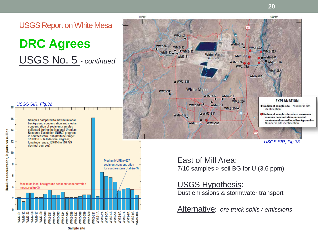

**Sample site** 

**20**

109°29

 $WM2-S3A$ 

 $\bullet$  WM2-S6A

 $WM2-S10A$ 

**WM2-S5A** 

*identification* 

**WM2-S2A** 

**WM2-S9A** 

*USGS SIR, Fig.33*

Number is site identification

**EXPLANATION** 

• Sediment sample site-Number is site

Sediment sample site where maximum uranium concentration exceeded

maximum observed local background-

East of Mill Area:  $7/10$  samples  $>$  soil BG for U (3.6 ppm)

#### USGS Hypothesis:

Dust emissions & stormwater transport

Alternative: *ore truck spills / emissions*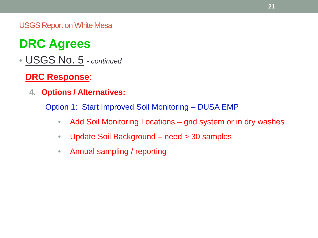## **DRC Agrees**

• USGS No. 5 *- continued*

#### **DRC Response**:

**4. Options / Alternatives:**

Option 1: Start Improved Soil Monitoring – DUSA EMP

- Add Soil Monitoring Locations grid system or in dry washes
- Update Soil Background need > 30 samples
- Annual sampling / reporting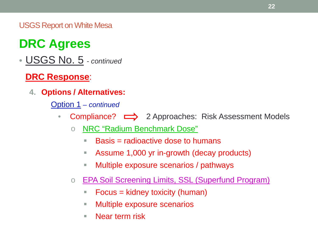## **DRC Agrees**

• USGS No. 5 *- continued*

#### **DRC Response**:

**4. Options / Alternatives:**

Option 1 *– continued*

- Compliance?  $\implies$  2 Approaches: Risk Assessment Models
	- o NRC "Radium Benchmark Dose"
		- $\blacksquare$  Basis = radioactive dose to humans
		- Assume 1,000 yr in-growth (decay products)
		- **Multiple exposure scenarios / pathways**
	- o **EPA Soil Screening Limits, SSL (Superfund Program)** 
		- Focus = kidney toxicity (human)
		- **Multiple exposure scenarios**
		- Near term risk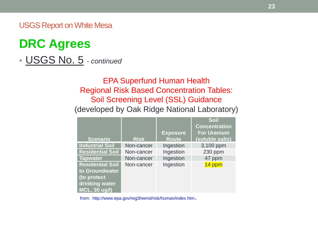### **DRC Agrees**

• USGS No. 5 *- continued*

#### EPA Superfund Human Health Regional Risk Based Concentration Tables: Soil Screening Level (SSL) Guidance (developed by Oak Ridge National Laboratory)

| <b>Scenario</b>         | <b>Risk</b> | <b>Exposure</b><br><b>Route</b> | <b>Soil</b><br><b>Concentration</b><br><b>For Uranium</b><br>(soluble salts) |
|-------------------------|-------------|---------------------------------|------------------------------------------------------------------------------|
|                         |             |                                 |                                                                              |
| <b>Industrial Soil</b>  | Non-cancer  | Ingestion                       | 3,100 ppm                                                                    |
| <b>Residential Soil</b> | Non-cancer  | Ingestion                       | 230 ppm                                                                      |
| <b>Tapwater</b>         | Non-cancer  | Ingestion                       | 47 ppm                                                                       |
| <b>Residential Soil</b> | Non-cancer  | Ingestion                       | 14 ppm                                                                       |
| to Groundwater          |             |                                 |                                                                              |
| (to protect             |             |                                 |                                                                              |
| drinking water          |             |                                 |                                                                              |
| MCL, 30 ug/l)           |             |                                 |                                                                              |

from: http://www.epa.gov/reg3hwmd/risk/human/index.htm.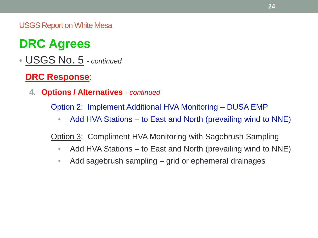## **DRC Agrees**

• USGS No. 5 *- continued*

#### **DRC Response**:

**4. Options / Alternatives** *- continued*

Option 2: Implement Additional HVA Monitoring – DUSA EMP

• Add HVA Stations – to East and North (prevailing wind to NNE)

Option 3: Compliment HVA Monitoring with Sagebrush Sampling

- Add HVA Stations to East and North (prevailing wind to NNE)
- Add sagebrush sampling grid or ephemeral drainages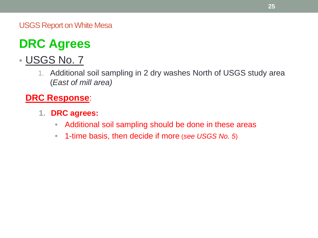## **DRC Agrees**

### • USGS No. 7

1. Additional soil sampling in 2 dry washes North of USGS study area (*East of mill area)*

#### **DRC Response**:

- **1. DRC agrees:**
	- Additional soil sampling should be done in these areas
	- 1-time basis, then decide if more (*see USGS No. 5*)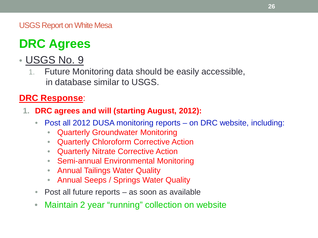## **DRC Agrees**

### • USGS No. 9

1. Future Monitoring data should be easily accessible, in database similar to USGS.

#### **DRC Response**:

- **1. DRC agrees and will (starting August, 2012):**
	- Post all 2012 DUSA monitoring reports on DRC website, including:
		- Quarterly Groundwater Monitoring
		- Quarterly Chloroform Corrective Action
		- Quarterly Nitrate Corrective Action
		- Semi-annual Environmental Monitoring
		- Annual Tailings Water Quality
		- Annual Seeps / Springs Water Quality
	- Post all future reports as soon as available
	- Maintain 2 year "running" collection on website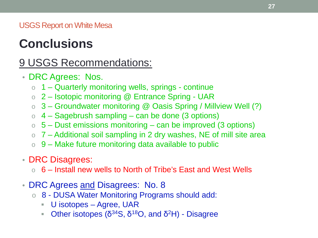### **Conclusions**

### 9 USGS Recommendations:

- DRC Agrees: Nos.
	- $\circ$  1 Quarterly monitoring wells, springs continue
	- o 2 Isotopic monitoring @ Entrance Spring UAR
	- $\circ$  3 Groundwater monitoring @ Oasis Spring / Millview Well (?)
	- $\circ$  4 Sagebrush sampling can be done (3 options)
	- $\circ$  5 Dust emissions monitoring can be improved (3 options)
	- $\circ$  7 Additional soil sampling in 2 dry washes, NE of mill site area
	- $\circ$  9 Make future monitoring data available to public
- DRC Disagrees:
	- $\circ$  6 Install new wells to North of Tribe's East and West Wells
- DRC Agrees and Disagrees: No. 8
	- o 8 DUSA Water Monitoring Programs should add:
		- U isotopes Agree, UAR
		- Other isotopes ( $\delta^{34}S$ ,  $\delta^{18}O$ , and  $\delta^2H$ ) Disagree